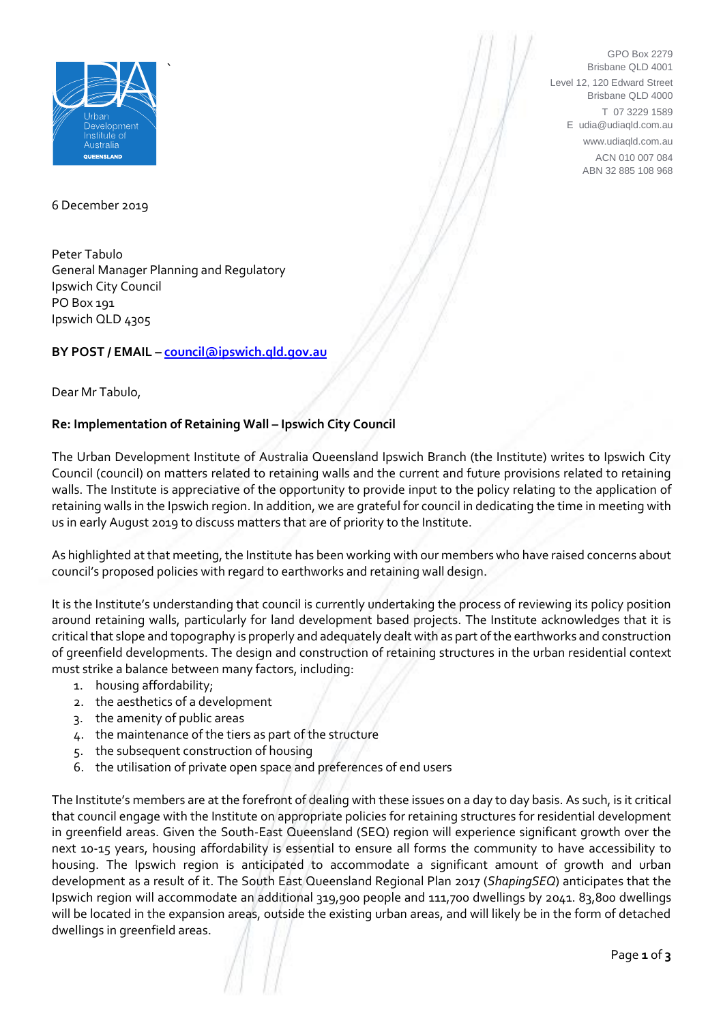

GPO Box 2279 Brisbane QLD 4001 Level 12, 120 Edward Street Brisbane QLD 4000 T 07 3229 1589 E udia@udiaqld.com.au www.udiaqld.com.au ACN 010 007 084 ABN 32 885 108 968

6 December 2019

Peter Tabulo General Manager Planning and Regulatory Ipswich City Council PO Box 191 Ipswich QLD 4305

# **BY POST / EMAIL – [council@ipswich.qld.gov.au](mailto:council@ipswich.qld.gov.au)**

Dear Mr Tabulo,

# **Re: Implementation of Retaining Wall – Ipswich City Council**

The Urban Development Institute of Australia Queensland Ipswich Branch (the Institute) writes to Ipswich City Council (council) on matters related to retaining walls and the current and future provisions related to retaining walls. The Institute is appreciative of the opportunity to provide input to the policy relating to the application of retaining walls in the Ipswich region. In addition, we are grateful for council in dedicating the time in meeting with us in early August 2019 to discuss matters that are of priority to the Institute.

As highlighted at that meeting, the Institute has been working with our members who have raised concerns about council's proposed policies with regard to earthworks and retaining wall design.

It is the Institute's understanding that council is currently undertaking the process of reviewing its policy position around retaining walls, particularly for land development based projects. The Institute acknowledges that it is critical that slope and topography is properly and adequately dealt with as part of the earthworks and construction of greenfield developments. The design and construction of retaining structures in the urban residential context must strike a balance between many factors, including:

- 1. housing affordability;
- 2. the aesthetics of a development
- 3. the amenity of public areas
- 4. the maintenance of the tiers as part of the structure
- 5. the subsequent construction of housing
- 6. the utilisation of private open space and preferences of end users

The Institute's members are at the forefront of dealing with these issues on a day to day basis. As such, is it critical that council engage with the Institute on appropriate policies for retaining structures for residential development in greenfield areas. Given the South-East Queensland (SEQ) region will experience significant growth over the next 10-15 years, housing affordability is essential to ensure all forms the community to have accessibility to housing. The Ipswich region is anticipated to accommodate a significant amount of growth and urban development as a result of it. The South East Queensland Regional Plan 2017 (*ShapingSEQ*) anticipates that the Ipswich region will accommodate an additional 319,900 people and 111,700 dwellings by 2041. 83,800 dwellings will be located in the expansion areas, outside the existing urban areas, and will likely be in the form of detached dwellings in greenfield areas.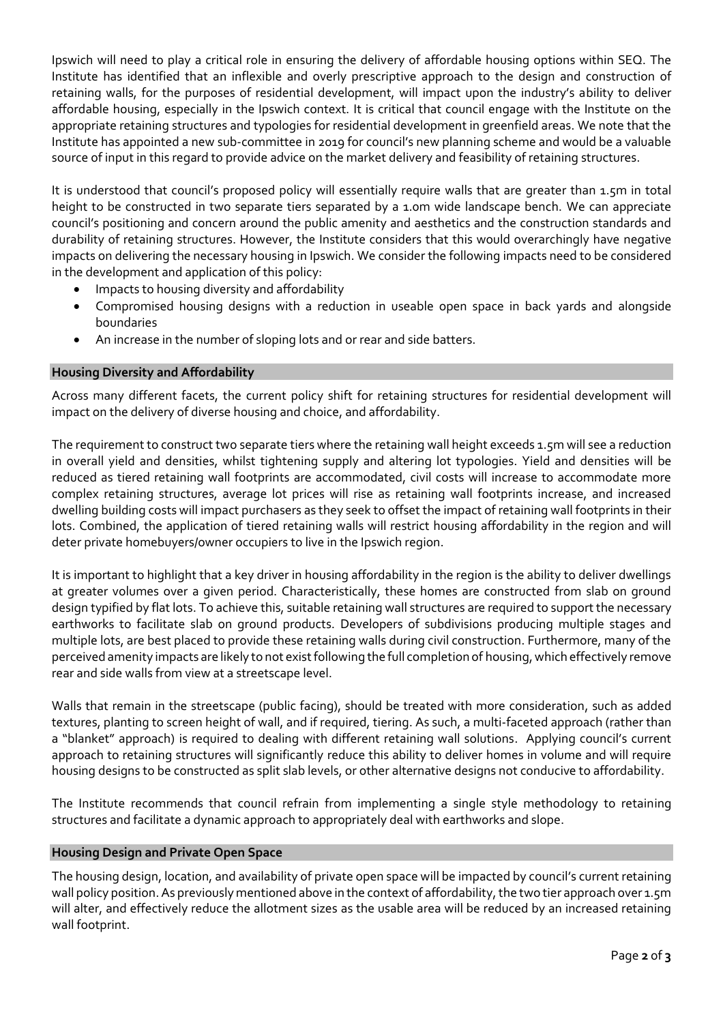Ipswich will need to play a critical role in ensuring the delivery of affordable housing options within SEQ. The Institute has identified that an inflexible and overly prescriptive approach to the design and construction of retaining walls, for the purposes of residential development, will impact upon the industry's ability to deliver affordable housing, especially in the Ipswich context. It is critical that council engage with the Institute on the appropriate retaining structures and typologies for residential development in greenfield areas. We note that the Institute has appointed a new sub-committee in 2019 for council's new planning scheme and would be a valuable source of input in this regard to provide advice on the market delivery and feasibility of retaining structures.

It is understood that council's proposed policy will essentially require walls that are greater than 1.5m in total height to be constructed in two separate tiers separated by a 1.0m wide landscape bench. We can appreciate council's positioning and concern around the public amenity and aesthetics and the construction standards and durability of retaining structures. However, the Institute considers that this would overarchingly have negative impacts on delivering the necessary housing in Ipswich. We consider the following impacts need to be considered in the development and application of this policy:

- Impacts to housing diversity and affordability
- Compromised housing designs with a reduction in useable open space in back yards and alongside boundaries
- An increase in the number of sloping lots and or rear and side batters.

## **Housing Diversity and Affordability**

Across many different facets, the current policy shift for retaining structures for residential development will impact on the delivery of diverse housing and choice, and affordability.

The requirement to construct two separate tiers where the retaining wall height exceeds 1.5m will see a reduction in overall yield and densities, whilst tightening supply and altering lot typologies. Yield and densities will be reduced as tiered retaining wall footprints are accommodated, civil costs will increase to accommodate more complex retaining structures, average lot prices will rise as retaining wall footprints increase, and increased dwelling building costs will impact purchasers as they seek to offset the impact of retaining wall footprints in their lots. Combined, the application of tiered retaining walls will restrict housing affordability in the region and will deter private homebuyers/owner occupiers to live in the Ipswich region.

It is important to highlight that a key driver in housing affordability in the region is the ability to deliver dwellings at greater volumes over a given period. Characteristically, these homes are constructed from slab on ground design typified by flat lots. To achieve this, suitable retaining wall structures are required to support the necessary earthworks to facilitate slab on ground products. Developers of subdivisions producing multiple stages and multiple lots, are best placed to provide these retaining walls during civil construction. Furthermore, many of the perceived amenity impacts are likely to not exist following the full completion of housing, which effectively remove rear and side walls from view at a streetscape level.

Walls that remain in the streetscape (public facing), should be treated with more consideration, such as added textures, planting to screen height of wall, and if required, tiering. As such, a multi-faceted approach (rather than a "blanket" approach) is required to dealing with different retaining wall solutions. Applying council's current approach to retaining structures will significantly reduce this ability to deliver homes in volume and will require housing designs to be constructed as split slab levels, or other alternative designs not conducive to affordability.

The Institute recommends that council refrain from implementing a single style methodology to retaining structures and facilitate a dynamic approach to appropriately deal with earthworks and slope.

#### **Housing Design and Private Open Space**

The housing design, location, and availability of private open space will be impacted by council's current retaining wall policy position. As previously mentioned above in the context of affordability, the two tier approach over 1.5m will alter, and effectively reduce the allotment sizes as the usable area will be reduced by an increased retaining wall footprint.